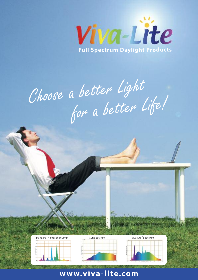

Choose <sup>a</sup> better Light for <sup>a</sup> better Life!









### **www.viva-lite.com**

A CAN TE VALLANT TELEVISION CONTRACTOR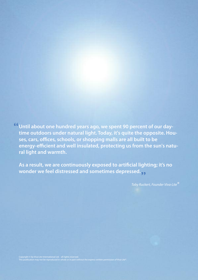**Until about one hundred years ago, we spent 90 percent of our daytime outdoors under natural light. Today, it's quite the opposite. Houses, cars, offices, schools, or shopping malls are all built to be energy-efficient and well insulated, protecting us from the sun's natural light and warmth.** "

**As a result, we are continuously exposed to artificial lighting; it's no wonder we feel distressed and sometimes depressed.** "

Toby Ruckert, Founder Viva-Lite  $^\circ$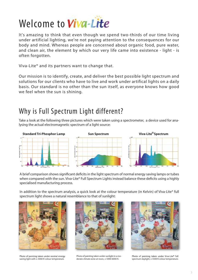# Welcome to Viva-Lite

It's amazing to think that even though we spend two-thirds of our time living under artificial lighting, we're not paying attention to the consequences for our body and mind. Whereas people are concerned about organic food, pure water, and clean air, the element by which our very life came into existence - light - is often forgotten.

Viva-Lite® and its partners want to change that.

Our mission is to identify, create, and deliver the best possible light spectrum and solutions for our clients who have to live and work under artifical lights on a daily basis. Our standard is no other than the sun itself, as everyone knows how good we feel when the sun is shining.

## Why is Full Spectrum Light different?

Take a look at the following three pictures which were taken using a spectrometer, a device used for analysing the actual electromagnetic spectrum of a light source:



A brief comparison shows significant deficits in the light spectrum of normal energy saving lamps or tubes when compared with the sun. Viva-Lite® Full Spectrum Lights instead balance these deficits using a highly specialised manufacturing process.

In addition to the spectrum analysis, a quick look at the colour temperature (in Kelvin) of Viva-Lite® full spectrum light shows a natural resemblance to that of sunlight:



Photo of painting taken under normal energy saving light with  $\pm 3000$  K colour temperature.



Photo of painting taken under sunlight in a moderate climate zone at noon, ± 5000-6000 K.



Photo of painting taken under Viva-Lite® full spectrum daylight, ± 5500 K colour temperature.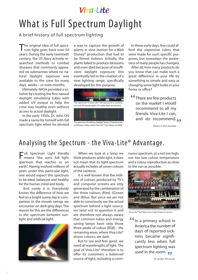

## What is Full Spectrum Daylight

A brief history of full spectrum lighting

The original idea of full spect-<br>Trum light goes back over 50 years: During the early twentieth century, the US Navy actively researched methods to combat diseases that commonly appeared on submarines where no natural daylight exposure was available to the crew for many days, weeks – or even months.

Ultimately, NASA provided a solution by creating the first natural daylight simulating tubes with added UV output to help the crew stay healthy even without access to actual daylight.

In the early 1950s, Dr. John Ott made a name for himself with full spectrum light when he devised

a way to capture the growth of plants in slow motion for a Walt Disney® production that had to be filmed indoors. Initially, the plants failed to produce blossoms and even died because of insufficient daylight exposure; this eventually led to the creation of a new lighting range, specifically developed for this purpose.



The spectrum of ordinary daylight lamps (3-band) are discontinuous.Areas,whereViva-Lite® has colours, are dark.

In those early days, few could afford the expensive tubes that were made for such specific purposes, but nowadays the awareness of many people has changed.

After all, how many products do you know that can make such a great difference in your life by something as simple and easy as changing some light bulbs in your home or office?

There are few products on the market I would recommend to all my friends. Viva-Lite I can, rrienas. viva-Lite i can,<br>and do recommend.<sub>99</sub>  $rac{66}{c}$ 

Thomas G. from Australia

### Analysing the Spectrum - the Viva-Lite® Advantage.

Full Spectrum Light literally means "the sun's full light spectrum that reaches us on earth". Having evolved millions of years under this particular light, one would expect this spectrum to be ideal, balanced and healthy for the human mind and body.

And surely it is. Everybody knows the difference of how we feel on a bright sunny day in comparison to the moods swings we encounter on dark grey days. The reason for this are the differences in the spectrum between sunlight and artificial light.



When we look at a lamp we think produces white light, it does not mean that its light spectrum actually includes all seven colours of the rainbow.

It is well known that the millions of colours produced by TV's and computer screens are only generated by the combination of the three colours (R)ed, (G)reen and (B)lue. But since we are not able to consciously see the actual spectrum behind a light source, we tend not to question it and are therefore not always aware that common tubes and energy saving lamps have only those three peaks of colour (RGB) - the remaining areas, where Viva-Lite® shows colours, are dark.

But to see and feel good, we need all wavelengths of light. The goal of Viva-Lite® therefore is to offer its customers a balanced source of light, including a continuousspectrum, at a not too high, not too low colour temperature and a colour reproduction as close to the sun as possible.



Viva-Lite® Full Spectrum Light Tubes in action.

In <sup>a</sup> primary school in America the number of days of reported sickness became significantly less when full spectrum lighting was used in the room. <sub>99</sub>  $\frac{66}{4}$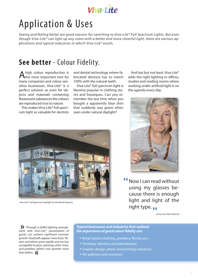

# Application & Uses

Seeing and feeling better are good reasons for switching to Viva-Lite® Full Spectrum Lights. But even though Viva-Lite® can light up any room with a better and more cheerful light, there are various applications and typical industries in which Viva-Lite® excels.

### **See better** - Colour Fidelity.

Ahigh colour reproduction is<br>the most important tool for many companies and colour sensitive businesses. Viva-Lite® is a perfect solution as even for objects and materials containing fluorescent substances the colours are reproduced true to nature.

This makes Viva-Lite® full spectrum light so valuable for dentists and dental technology where fabricated denture has to match 100% with the natural teeth.

Viva-Lite® full spectrum light is likewise popular in clothing stores and boutiques. Can you remember the last time when you bought a apparently blue shirt that suddenly was green when seen under natural daylight?

And last but not least, Viva-Lite® adds the right lighting to offices, studies and reading rooms where working under artificial light is on the agenda every day.



<sup>"</sup> Now I can read without using my glasses because there is enough light and light of the right type.<sub>99</sub>

Jenny from New Zealand

Through a skillful lighting arrange-**»** ment with Viva-Lite®, presentation of goods can achieve significant turnover growth: foodstuffs appear more fresh, flowers and plants grow rapidly and are less susceptible to pests, paintings shine more, and jewellery glitters and sparkles more than before. **»**

#### *Typical businesses and industries thatrealized the importance of good colour fidelity are:*

- Retail stores (clothing, jewellery, florists etc.)
- Dentistry (dentists and laboratories)
- Graphic design, photo and printing industries
- Art galleries and museums



Viva-Lite® Full Spectrum Daylight for the Retail Industry.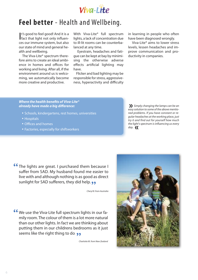

### **Feel better** - Health and Wellbeing.

It's good to feel good! And it is a<br>fact that light not only influent's good to feel good! And it is a ces our immune system, but also our state of mind and general health and wellbeing.

The Viva-Lite® spectrum therefore aims to create an ideal ambience in homes and offices for working and living. After all, if the environment around us is welcoming, we automatically become more creative and productive.

With Viva-Lite® full spectrum lights, a lack of concentration due to ill-lit rooms can be counterbalanced at any time.

Eyestrain, headaches and fatigue can be kept at bay by minimising the otherwise adverse effects artificial lighting may have.

Flicker and bad lighting may be responsible for stress, aggressiveness, hyperactivity and difficulty in learning in people who often have been diagnosed wrongly.

Viva-Lite® aims to lower stress levels, lessen headaches and improve communication and productivity in companies.

#### *Where the health benefits of Viva-Lite® already have made a big difference:*

- Schools, kindergartens, rest homes, universities
- Hospitals
- Offices and homes
- Factories, especially for shiftworkers

Simply changing the lamps can be an **»** easy solution to some of the above mentioned problems. If you have constant or regular headaches at the working place, just try it and find out for yourself how much the light's spectrum is influencing us every day. **»**

**66** The lights are great. I purchased them because I suffer from SAD. My husband found me easier to suffer from SAD. My husband found me easier to live with and although nothing is as good as direct<br>sunlight for SAD sufferers, they did help. و sunlight for SAD sufferers, they did help. ••

Cheryl B. from Australia

We use the Viva-Lite full spectrum lights in our fa-" mily room. The colour of them is a lot more natural than our other lights. In fact we are thinking about putting them in our childrens bedrooms as it just<br>seems like the right thing to do. •• seems like the right thing to do.

Charlotte M. from New Zealand

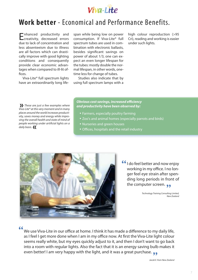

### **Work better** - Economical and Performance Benefits.

Enhanced productivity and creativity, decreased errors due to lack of concentration and less absenteeism due to illness are all factors which can drastically improve with good lighting conditions and consequently provide clear economic advantages when compared to ill-lit offices.

Viva-Lite® full spectrum lights have an extraordinarily long lifespan while being low on power consumption. If Viva-Lite® full spectrum tubes are used in combination with electronic ballasts, besides significant savings on power of about 1/3, one can expect an even longer lifespan for the tubes: mostly double the normal lifespan, in other words, onetime less for change of tubes.

Studies also indicate that by using full spectrum lamps with a high colour reproduction (>95 Cri), reading and working is easier under such lights.

**These are just a few examples where**<br>*I*iva-Lite® at this very moment and in many Viva-Lite® at this very moment and in many places around the world increases productivity, saves money and energy while improving the overall health and state of mind of people working under artificial lights on a daily basis. **»**

#### *Obvious cost savings, increased efficiency and productivity have been observed by:*

- Farmers, especially poultry farming
- Zoo's and animal homes (especially parrots and birds)
- Nurseries and green houses
- Offices, hospitals and the retail industry



**I** do feel better and now enjoy<br>working in my office. I no lonworking in my office. I no longer feel eye strain after spending long periods in front of the computer screen. **99** 

> Technology Training Consulting Limited, New Zealand

 $\frac{1}{2}$ 

We use Viva-Lite in our office at home. I think it has made a difference to my daily life, as I feel I get more done when I am in my office now. At first the Viva-Lite light colour seems really white, but my eyes quickly adjust to it, and then I don't want to go back into a room with regular lights. Also the fact that it is an energy saving bulb makes it into a room with regular lights. Also the fact that it is an energy saving buib<br>even better! I am very happy with the light, and it was a great purchase.  $\bullet\hspace{-1.2mm}\bullet\hspace{-1.2mm}$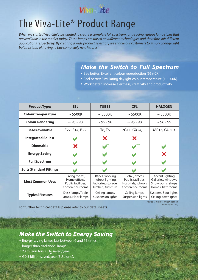

## The Viva-Lite® Product Range

When we started Viva-Lite®, we wanted to create a complete full spectrum range using various lamp styles that are available in the market today. These lamps are based on different technologies and therefore suit different applications respectively. By creating a wide product selection, we enable our customers to simply change light bulbs instead of having to buy completely new fixtures!

### *Make the Switch to Full Spectrum*

- See better: Excellent colour reproduction (95+ CRI).
- Feel better: Simulating daylight colour temperature (± 5500K).
- Work better: Increase alertness, creativity and productivity.

| <b>Product Type:</b>           | <b>ESL</b>                                                               | <b>TUBES</b>                                                                         | <b>CFL</b>                                                                       | <b>HALOGEN</b>                                                                 |
|--------------------------------|--------------------------------------------------------------------------|--------------------------------------------------------------------------------------|----------------------------------------------------------------------------------|--------------------------------------------------------------------------------|
| <b>Colour Temperature</b>      | $\sim$ 5500K                                                             | $\sim$ 5500K                                                                         | $\sim$ 5500K                                                                     | $\sim$ 5500K                                                                   |
| <b>Colour Rendering</b>        | $\sim$ 95 - 98                                                           | $\sim$ 95 - 98                                                                       | $\sim$ 95 - 98                                                                   | $\sim$ 96 - 99                                                                 |
| <b>Bases available</b>         | E27, E14, B22                                                            | T8, T5                                                                               | 2G11, GX24,                                                                      | MR16, GU 5.3                                                                   |
| <b>Integrated Ballast</b>      |                                                                          | X                                                                                    | X                                                                                |                                                                                |
| <b>Dimmable</b>                | X                                                                        |                                                                                      |                                                                                  |                                                                                |
| <b>Energy Saving</b>           |                                                                          |                                                                                      |                                                                                  | X                                                                              |
| <b>Full Spectrum</b>           |                                                                          |                                                                                      |                                                                                  |                                                                                |
| <b>Suits Standard Fittings</b> |                                                                          |                                                                                      |                                                                                  |                                                                                |
| <b>Most Common Uses</b>        | Living rooms,<br>Home offices,<br>Public facilities,<br>Conference rooms | Offices, working,<br>Indirect lighting,<br>Factories, storage,<br>Kitchen, furniture | Retail, offices,<br>Public facilities,<br>Hospitals, schools<br>Conference rooms | Accent lighting,<br>Galleries, windows<br>Showrooms, shops<br>Homes, bathrooms |
| <b>Typical Fixtures</b>        | Desk lamps, Table<br>lamps, Floor lamps                                  | Ceiling lamps,<br>Suspension lights                                                  | Ceiling lamps,<br>Suspension lights                                              | Systems, Spot lights,<br>Ceiling downlights                                    |

For further technical details please refer to our data sheets.

\*Special dimmer switch needed. \*\* Some types only.

### *Make the Switch to Energy Saving*

- Energy saving lamps last between <sup>6</sup> and <sup>15</sup> times longer than traditional lamps.
- 23 million tons  $CO<sub>2</sub>$  saved/year.
- € 9.3 billion saved/year (EU alone).

8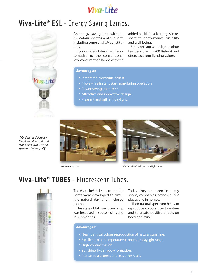

### **Viva-Lite® ESL** - Energy Saving Lamps.



Feel the difference: **»** It is pleasant to work and read under Viva-Lite®full spectrum lighting. **»**

An energy-saving lamp with the full colour spectrum of sunlight, including some vital UV constituents.

Economic and design-wise alternative to the conventional low-consumption lamps with the added healthful advantages in respect to performance, visibility and well-being.

Emits brilliant white light (colour temperature ± 5500 Kelvin) and offers excellent lighting values.

#### *Advantages:*

- Integrated electronic ballast.
- Flicker-free instant start, non-flaring operation.
- Power saving up to 80%.
- Attractive and innovative design.
- Pleasant and brilliant daylight.





With ordinary tubes. The state of the Community of the Viva-Lite® Full Spectrum Light tubes.

### **Viva-Lite® TUBES** - Fluorescent Tubes.



The Viva-Lite® full spectrum tube lights were developed to simulate natural daylight in closed rooms.

This style of full spectrum lamp was first used in space flights and in submarines.

Today they are seen in many shops, companies, offices, public places and in homes.

Their natural spectrum helps to reproduce colours true to nature and to create positive effects on body and mind.

#### *Advantages:*

- Near identical colour reproduction of natural sunshine.
- Excellent colour temperature in optimum daylight range.
- High-contrast vision.
- Sunshine-like shadow formation.
- Increased alertness and less error rates.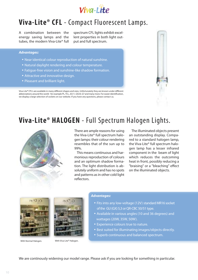

### **Viva-Lite® CFL** - Compact Fluorescent Lamps.

A combination between the energy saving lamps and the tubes, the modern Viva-Lite® full spectrum CFL lights exhibit excellent properties in both light output and full spectrum.

#### *Advantages:*

- Near identical colour reproduction of natural sunshine.
- Natural daylight rendering and colour temperature.
- Fatigue-free vision and sunshine-like shadow formation.
- Attractive and innovative design.
- Pleasant and brilliant light.

Viva-Lite® CFL's are available in many different shapes and sizes. Unfortunately they are known under different abbreviations around the world - for example PL, TCL, 2G11, GX24, G7 and many more. For easier identification, we display a large selection of sockets on our website. If you have any questions, please contact us.



## **Viva-Lite® HALOGEN** - Full Spectrum Halogen Lights.



There are ample reasons for using the Viva-Lite® full spectrum halogen lamps: their colour rendering resembles that of the sun up to 99%.

This means continuous and harmonious reproduction of colours and an optimum shadow formation. The light distribution is absolutely uniform and has no spots and patterns as in other cold light reflectors.

The illuminated objects present an outstanding display. Compared to a standard halogen lamp, the Viva-Lite® full spectrum halogen lamp has a lesser infrared component in the beam of light which reduces the outcoming heat in front, possibly reducing a "braising" or a "bleaching" effect on the illuminated objects.





With Normal Halogen. With Viva-Lite® Halogen.

#### *Advantages:*

- Fits into any low-voltage (12V) standard MR16 socket of the GU (GX) 5,3 or QR-CBC 50/51 type.
- Available in various angles (10 and <sup>36</sup> degrees) and wattages (20W, 35W, 50W).
- Experience colours true to nature.
- Best suited for illuminating images/objects directly.
- Superb continuous and balanced spectrum.

We are continously widening our model range. Please ask if you are looking for something in particular.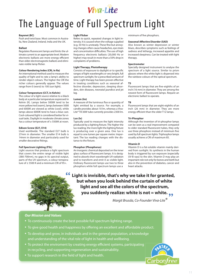

# The Language of Full Spectrum Light

#### **Bayonet (BC)**

Push and twist base. Most common in Australia, New Zealand, Ireland, India and the UK.

#### **Ballast**

Regulates fluorescent lamps and limits the ultimate current to an appropriate level. Modern electronic ballasts are more energy efficient than older electromagnetic ballasts and eliminate visible lamp flicker.

#### **Colour Rendering Index (CRI, in Ra)**

An international method used to measure the quality of light and to rate a lamp's ability to render object colours. The higher the CRI the richer colours generally appear. The values range from 0 (worst) to 100 (sun light).

#### **Colour Temperature (CCT, in Kelvin)**

The colour of a light source relative to a black body at a particular temperature expressed in Kelvin (K). Lamps below 5000K tend to be more yellow/red (warm), lamps between 5000 and 6000K are viewed as white (cool), while lamps above 6000K tend to have a blue cast. Cool-coloured light is considered better for visual tasks. Daylight in moderate climate zones has a colour temperature of  $\pm$  5500K at noon.

#### **Edison Screw (E27, E14)**

Used worldwide. The standard E27 bulb is 27mm in diameter. The smaller E14 bulb is 14mm in diameter and particularly used for smaller decorative fittings.

#### **Full Spectrum Lighting (FSL)**

Light sources that produce a light spectrum that covers the entire range of visible light (380-700nm), no gaps in its spectral output, parts of the UV spectrum, a colour temperature of  $\pm$  5500 K and a minimum CRI of 95+.



#### **Light Flicker**

Refers to quick, repeated changes in light intensity. It is caused when the voltage supplied (e.g. 50 Hz) is unsteady. These fine but annoying changes often cause headaches, eye strain and concentration difficulties. The use of high frequency electronic ballasts (20,000 Hz or higher) may result in more than a 50% drop in complaints of problems.

#### **Light Therapy, Phototherapy**

Consists of exposure to daylight or to specific ranges of light wavelengths or very bright, full spectrum sunlight, for a prescribed amount of time. Light therapy has been proven effective in treating conditions such as seasonal affective disorder, depression, sleeping disorders, skin diseases, neonatal jaundice and jet lag.

#### **Lumen (lm)**

A measure of the luminous flux or quantity of light emitted by a source. For example, a candle provides about 10 lm, whereas a Viva-Lite® T8 36W tube currently provides 2300 lm.

#### **Lux (lx)**

Typically used to measure the light intensity produced by a lighting fixture. The higher the lux reading, the more light the lighting fixture is producing over a given area. One lux is equal to one lumen per square metre. Important: The lux reading changes with the distance to the fixture.

#### **Phosphor (Phosphorus)**

An inorganic chemical deposited on the inner glass surface of fluorescent lamps. It is designed to absorb short wavelength UV-radiation and to transform and emit it as visible light. Ordinary fluorescent lamps use two to three phosphors while full spectrum lamps use a

minimum of five phosphors.

#### **Seasonal Affective Disorder (SAD)**

Also known as winter depression or winter blues, describes symptoms such as feelings of sadness and lethargy, increased appetite and increased sleepiness. Can be treated with light therapy.

#### **Spectrometer**

Specially designed instrument to analyse the spectrum of a light source. Similar to prism glasses where the white light is dispersed into the rainbow colours of the optical spectrum.

#### **T5**

Fluorescent lamps that are five-eighths of an inch (16 mm) in diameter. They are among the newest form of fluorescent lamps. Require an electronic ballast to operate.

#### **T8**

Fluorescent lamps that are eight-eighths of an inch (26 mm) in diameter. They are more energy efficient than the older T12 lamps.

#### **Tri-Phosphor**

Although the invention of tri-phosphor lamps can be seen as a real improvement compared to older standard fluorescent tubes, they only use three phosphors instead of minimum five used by full spectrum lights. Triphosphor lamps usually achieve a CRI of maximum 85.

#### **Vitamin D**

Vitamin D is a fat-soluble vitamin mainly derived from sunlight. Its synthesis in the human body is triggered by sun exposure (especially UV-B rays) to the skin. Vitamin D may play an important role not only for bones and teeth but also in the prevention of diabetes, cancer and heart attacks.

### **Light is invisible, that's why we take it for granted,** " **but when you look behind the curtain of white light and see all the colors of the spectrum, you suddenly realize: white is not = white.** "

Margit Brusda, Co-Founder Viva-Lite<sup>®</sup>

#### *Our Mission and Values*

- To continuously create the best possible full spectrum lighting range.
- To give good health and happiness by offering an excellent and affordable product.
- To develop and grow, in individuals and in the general population, <sup>a</sup> knowledge and understanding of the vital role of light in health and wellbeing.
- To protect the enviroment by creating energy efficient systems, participating in recycling, and supporting regeneration and sustainability.
- To support research in the field of light and health.